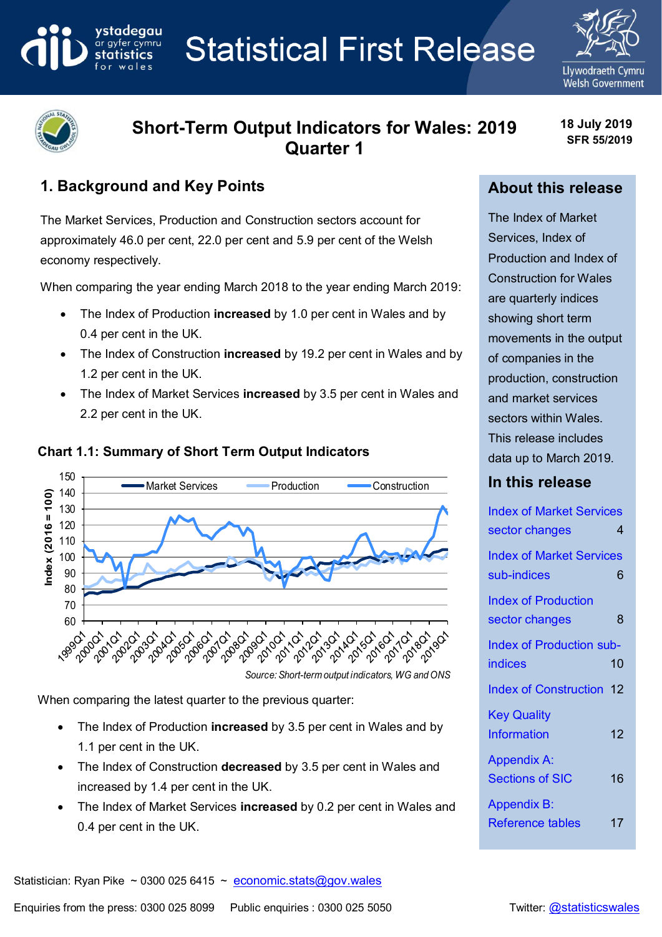**Statistical First Release** 





# **Short-Term Output Indicators for Wales: 2019 Quarter 1**

**18 July 2019 SFR 55/2019**

## **1. Background and Key Points**

ystadegau

ar gyfer cymru

The Market Services, Production and Construction sectors account for approximately 46.0 per cent, 22.0 per cent and 5.9 per cent of the Welsh economy respectively.

When comparing the year ending March 2018 to the year ending March 2019:

- The Index of Production **increased** by 1.0 per cent in Wales and by 0.4 per cent in the UK.
- The Index of Construction **increased** by 19.2 per cent in Wales and by 1.2 per cent in the UK.
- The Index of Market Services **increased** by 3.5 per cent in Wales and 2.2 per cent in the UK.



## **Chart 1.1: Summary of Short Term Output Indicators**

When comparing the latest quarter to the previous quarter:

- The Index of Production **increased** by 3.5 per cent in Wales and by 1.1 per cent in the UK.
- The Index of Construction **decreased** by 3.5 per cent in Wales and increased by 1.4 per cent in the UK.
- The Index of Market Services **increased** by 0.2 per cent in Wales and 0.4 per cent in the UK.

## **About this release**

The Index of Market Services, Index of Production and Index of Construction for Wales are quarterly indices showing short term movements in the output of companies in the production, construction and market services sectors within Wales. This release includes data up to March 2019.

## **In this release**

| <b>Index of Market Services</b> |    |
|---------------------------------|----|
| sector changes                  | 4  |
| <b>Index of Market Services</b> |    |
| sub-indices                     | 6  |
| <b>Index of Production</b>      |    |
| sector changes                  | 8  |
| <b>Index of Production sub-</b> |    |
| indices                         | 10 |
| <b>Index of Construction 12</b> |    |
| <b>Key Quality</b>              |    |
| <b>Information</b>              | 12 |
| <b>Appendix A:</b>              |    |
| <b>Sections of SIC</b>          | 16 |
| <b>Appendix B:</b>              |    |
| <b>Reference tables</b>         | 17 |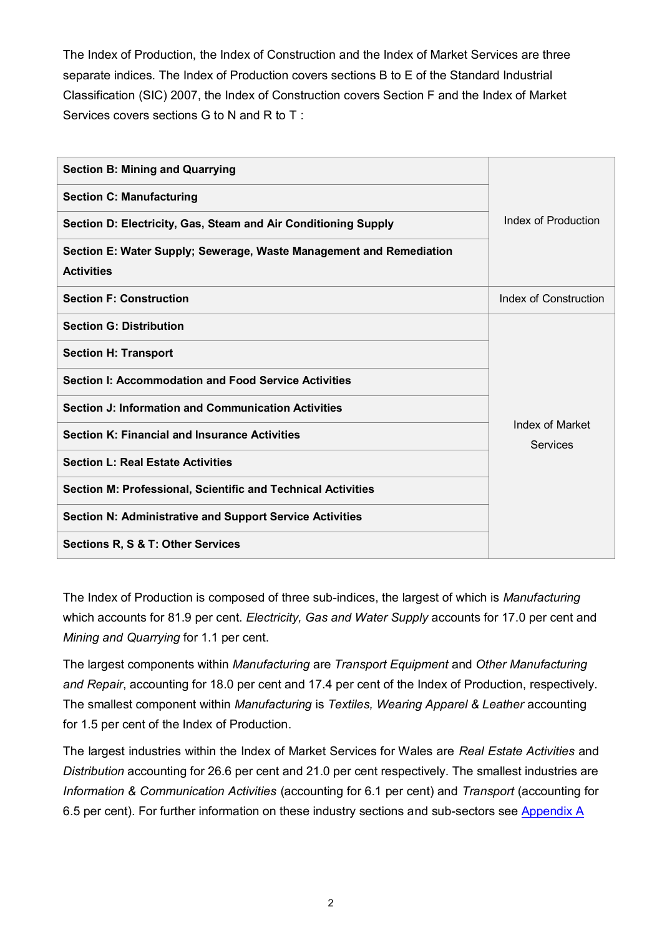The Index of Production, the Index of Construction and the Index of Market Services are three separate indices. The Index of Production covers sections B to E of the Standard Industrial Classification (SIC) 2007, the Index of Construction covers Section F and the Index of Market Services covers sections G to N and R to T :

| <b>Section B: Mining and Quarrying</b>                                                   |                             |
|------------------------------------------------------------------------------------------|-----------------------------|
| <b>Section C: Manufacturing</b>                                                          |                             |
| Section D: Electricity, Gas, Steam and Air Conditioning Supply                           | Index of Production         |
| Section E: Water Supply; Sewerage, Waste Management and Remediation<br><b>Activities</b> |                             |
| <b>Section F: Construction</b>                                                           | Index of Construction       |
| <b>Section G: Distribution</b>                                                           |                             |
| <b>Section H: Transport</b>                                                              |                             |
| Section I: Accommodation and Food Service Activities                                     |                             |
| <b>Section J: Information and Communication Activities</b>                               |                             |
| <b>Section K: Financial and Insurance Activities</b>                                     | Index of Market<br>Services |
| <b>Section L: Real Estate Activities</b>                                                 |                             |
| Section M: Professional, Scientific and Technical Activities                             |                             |
| Section N: Administrative and Support Service Activities                                 |                             |
| <b>Sections R, S &amp; T: Other Services</b>                                             |                             |

The Index of Production is composed of three sub-indices, the largest of which is *Manufacturing* which accounts for 81.9 per cent. *Electricity, Gas and Water Supply* accounts for 17.0 per cent and *Mining and Quarrying* for 1.1 per cent.

The largest components within *Manufacturing* are *Transport Equipment* and *Other Manufacturing and Repair*, accounting for 18.0 per cent and 17.4 per cent of the Index of Production, respectively. The smallest component within *Manufacturing* is *Textiles, Wearing Apparel & Leather* accounting for 1.5 per cent of the Index of Production.

The largest industries within the Index of Market Services for Wales are *Real Estate Activities* and *Distribution* accounting for 26.6 per cent and 21.0 per cent respectively. The smallest industries are *Information & Communication Activities* (accounting for 6.1 per cent) and *Transport* (accounting for 6.5 per cent). For further information on these industry sections and sub-sectors see [Appendix A](#page-15-0)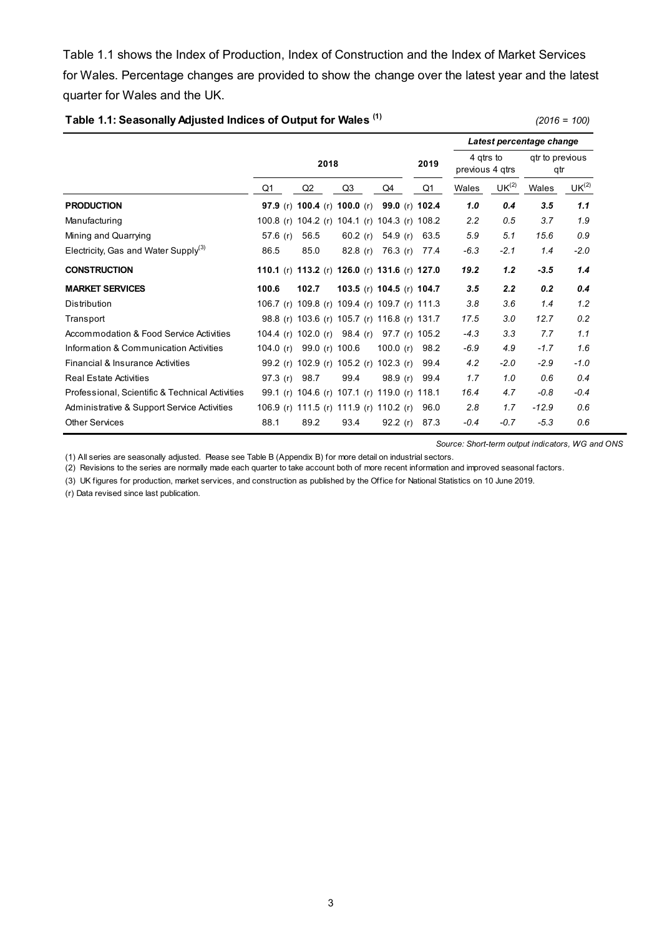Table 1.1 shows the Index of Production, Index of Construction and the Index of Market Services for Wales. Percentage changes are provided to show the change over the latest year and the latest quarter for Wales and the UK.

**Table 1.1: Seasonally Adjusted Indices of Output for Wales (1)** *(2016 = 100)*

|                                                  |             |                                               |                           |             |      |                              | Latest percentage change |                        |         |                   |  |  |
|--------------------------------------------------|-------------|-----------------------------------------------|---------------------------|-------------|------|------------------------------|--------------------------|------------------------|---------|-------------------|--|--|
|                                                  |             | 2018                                          |                           |             | 2019 | 4 atrs to<br>previous 4 gtrs |                          | gtr to previous<br>qtr |         |                   |  |  |
|                                                  | Q1          | Q <sub>2</sub>                                | Q3                        | Q4          |      | Q1                           | Wales                    | UK <sup>(2)</sup>      | Wales   | UK <sup>(2)</sup> |  |  |
| <b>PRODUCTION</b>                                |             | 97.9 (r) 100.4 (r) 100.0 (r)                  |                           |             |      | 99.0 (r) 102.4               | 1.0                      | 0.4                    | 3.5     | 1.1               |  |  |
| Manufacturing                                    |             | 100.8 (r) 104.2 (r) 104.1 (r) 104.3 (r) 108.2 |                           |             |      |                              | 2.2                      | 0.5                    | 3.7     | 1.9               |  |  |
| Mining and Quarrying                             | 57.6 $(r)$  | 56.5                                          | 60.2 $(r)$                | 54.9 $(r)$  |      | 63.5                         | 5.9                      | 5.1                    | 15.6    | 0.9               |  |  |
| Electricity, Gas and Water Supply <sup>(3)</sup> | 86.5        | 85.0                                          | 82.8 $(r)$                | 76.3 (r)    |      | 77.4                         | $-6.3$                   | $-2.1$                 | 1.4     | $-2.0$            |  |  |
| <b>CONSTRUCTION</b>                              |             | 110.1 (r) 113.2 (r) 126.0 (r) 131.6 (r) 127.0 |                           |             |      |                              | 19.2                     | 1.2                    | $-3.5$  | 1.4               |  |  |
| <b>MARKET SERVICES</b>                           | 100.6       | 102.7                                         | 103.5 (r) 104.5 (r) 104.7 |             |      |                              | 3.5                      | 2.2                    | 0.2     | 0.4               |  |  |
| Distribution                                     |             | 106.7 (r) 109.8 (r) 109.4 (r) 109.7 (r) 111.3 |                           |             |      |                              | 3.8                      | 3.6                    | 1.4     | 1.2               |  |  |
| Transport                                        |             | 98.8 (r) 103.6 (r) 105.7 (r) 116.8 (r) 131.7  |                           |             |      |                              | 17.5                     | 3.0                    | 12.7    | 0.2               |  |  |
| Accommodation & Food Service Activities          |             | 104.4 (r) 102.0 (r) 98.4 (r)                  |                           |             |      | 97.7 (r) 105.2               | $-4.3$                   | 3.3                    | 7.7     | 1.1               |  |  |
| Information & Communication Activities           | 104.0 $(r)$ | 99.0 (r) 100.6                                |                           | 100.0 $(r)$ |      | 98.2                         | $-6.9$                   | 4.9                    | $-1.7$  | 1.6               |  |  |
| Financial & Insurance Activities                 |             | 99.2 (r) 102.9 (r) 105.2 (r) 102.3 (r)        |                           |             |      | 99.4                         | 4.2                      | $-2.0$                 | $-2.9$  | $-1.0$            |  |  |
| <b>Real Estate Activities</b>                    | 97.3(r)     | 98.7                                          | 99.4                      | 98.9 (r)    |      | 99.4                         | 1.7                      | 1.0                    | 0.6     | 0.4               |  |  |
| Professional, Scientific & Technical Activities  |             | 99.1 (r) 104.6 (r) 107.1 (r) 119.0 (r) 118.1  |                           |             |      |                              | 16.4                     | 4.7                    | $-0.8$  | $-0.4$            |  |  |
| Administrative & Support Service Activities      |             | 106.9 (r) 111.5 (r) 111.9 (r) 110.2 (r)       |                           |             |      | 96.0                         | 2.8                      | 1.7                    | $-12.9$ | 0.6               |  |  |
| <b>Other Services</b>                            | 88.1        | 89.2                                          | 93.4                      | 92.2(r)     |      | 87.3                         | $-0.4$                   | $-0.7$                 | $-5.3$  | 0.6               |  |  |

*Source: Short-term output indicators, WG and ONS*

(1) All series are seasonally adjusted. Please see Table B (Appendix B) for more detail on industrial sectors.

(2) Revisions to the series are normally made each quarter to take account both of more recent information and improved seasonal factors.

(3) UK figures for production, market services, and construction as published by the Office for National Statistics on 10 June 2019.

<span id="page-2-0"></span>(r) Data revised since last publication.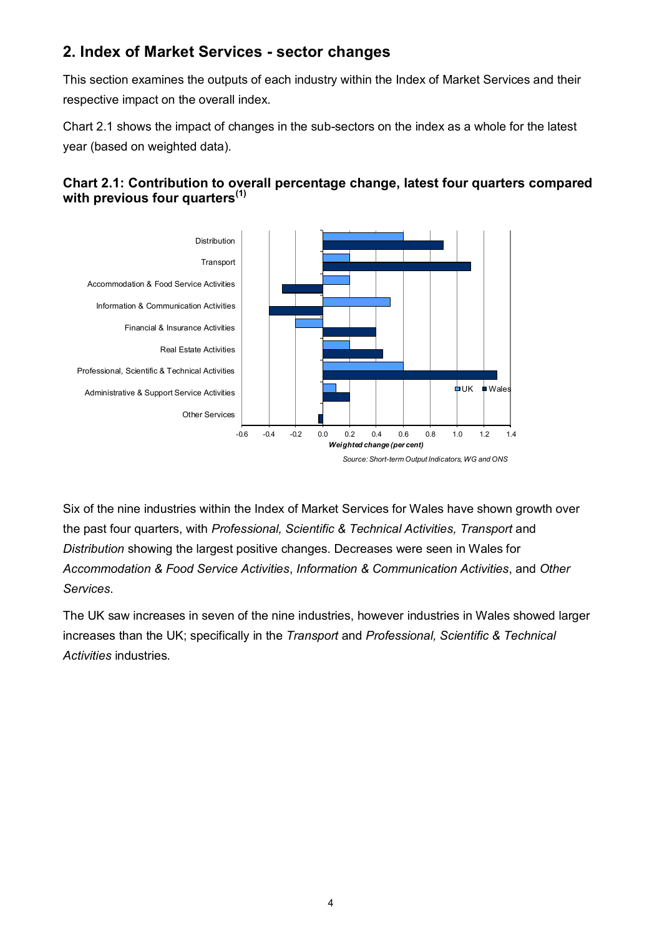## **2. Index of Market Services - sector changes**

This section examines the outputs of each industry within the Index of Market Services and their respective impact on the overall index.

Chart 2.1 shows the impact of changes in the sub-sectors on the index as a whole for the latest year (based on weighted data).



## **Chart 2.1: Contribution to overall percentage change, latest four quarters compared with previous four quarters(1)**

Six of the nine industries within the Index of Market Services for Wales have shown growth over the past four quarters, with *Professional, Scientific & Technical Activities, Transport* and *Distribution* showing the largest positive changes. Decreases were seen in Wales for *Accommodation & Food Service Activities*, *Information & Communication Activities*, and *Other Services*.

The UK saw increases in seven of the nine industries, however industries in Wales showed larger increases than the UK; specifically in the *Transport* and *Professional, Scientific & Technical Activities* industries*.*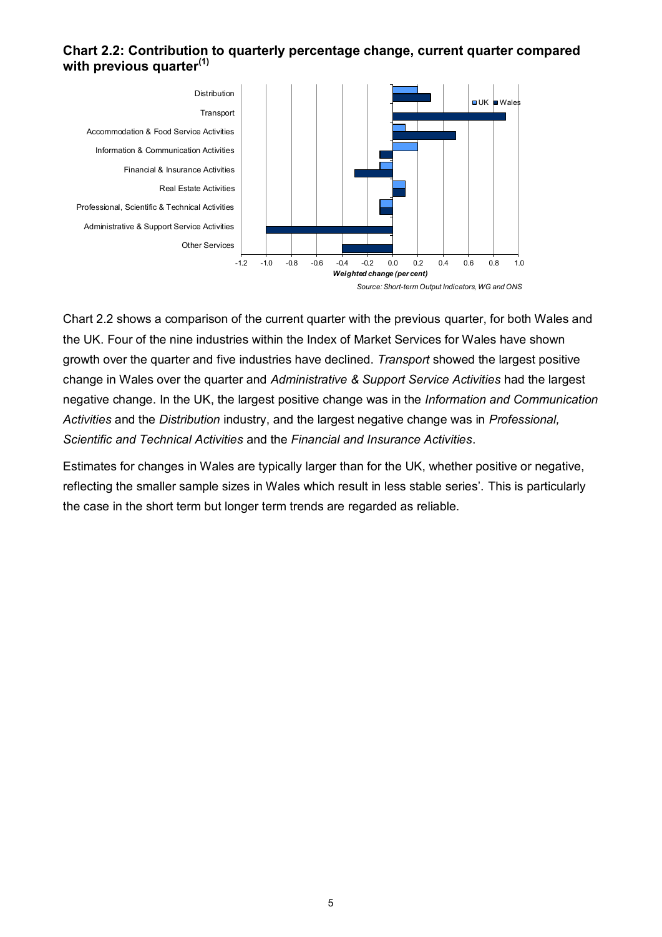### **Chart 2.2: Contribution to quarterly percentage change, current quarter compared with previous quarter(1)**

<span id="page-4-0"></span>

Chart 2.2 shows a comparison of the current quarter with the previous quarter, for both Wales and the UK. Four of the nine industries within the Index of Market Services for Wales have shown growth over the quarter and five industries have declined. *Transport* showed the largest positive change in Wales over the quarter and *Administrative & Support Service Activities* had the largest negative change. In the UK, the largest positive change was in the *Information and Communication Activities* and the *Distribution* industry, and the largest negative change was in *Professional, Scientific and Technical Activities* and the *Financial and Insurance Activities*.

Estimates for changes in Wales are typically larger than for the UK, whether positive or negative, reflecting the smaller sample sizes in Wales which result in less stable series'. This is particularly the case in the short term but longer term trends are regarded as reliable.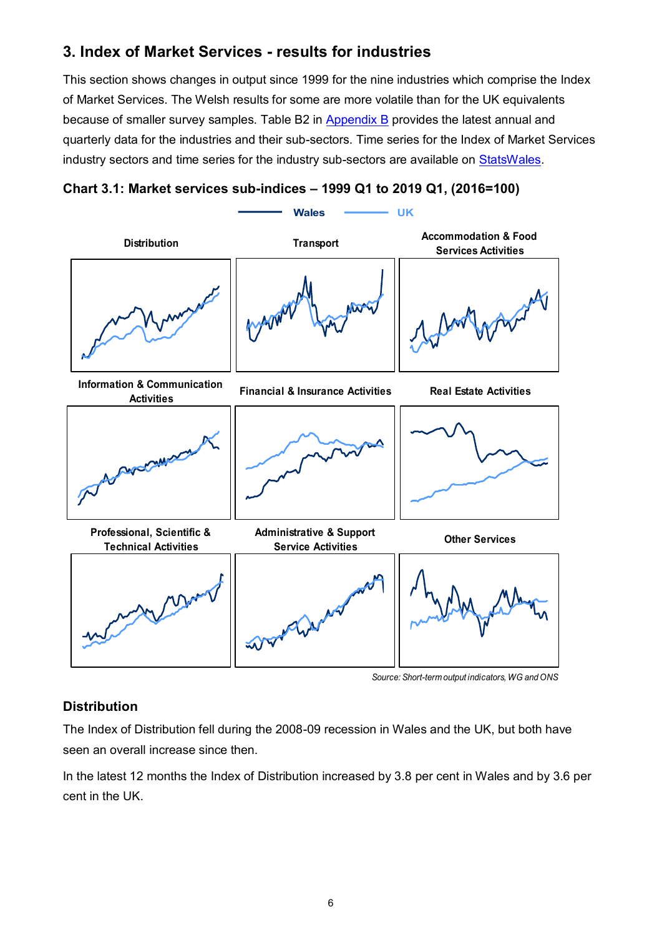## **3. Index of Market Services - results for industries**

This section shows changes in output since 1999 for the nine industries which comprise the Index of Market Services. The Welsh results for some are more volatile than for the UK equivalents because of smaller survey samples. Table B2 in [Appendix B](#page-16-0) provides the latest annual and quarterly data for the industries and their sub-sectors. Time series for the Index of Market Services industry sectors and time series for the industry sub-sectors are available on [StatsWales.](https://statswales.gov.wales/Catalogue/Business-Economy-and-Labour-Market/Economic-Indices/Index-of-Market-Services)



**Chart 3.1: Market services sub-indices – 1999 Q1 to 2019 Q1, (2016=100)**

*Source: Short-term output indicators, WG and ONS*

## **Distribution**

The Index of Distribution fell during the 2008-09 recession in Wales and the UK, but both have seen an overall increase since then.

In the latest 12 months the Index of Distribution increased by 3.8 per cent in Wales and by 3.6 per cent in the UK.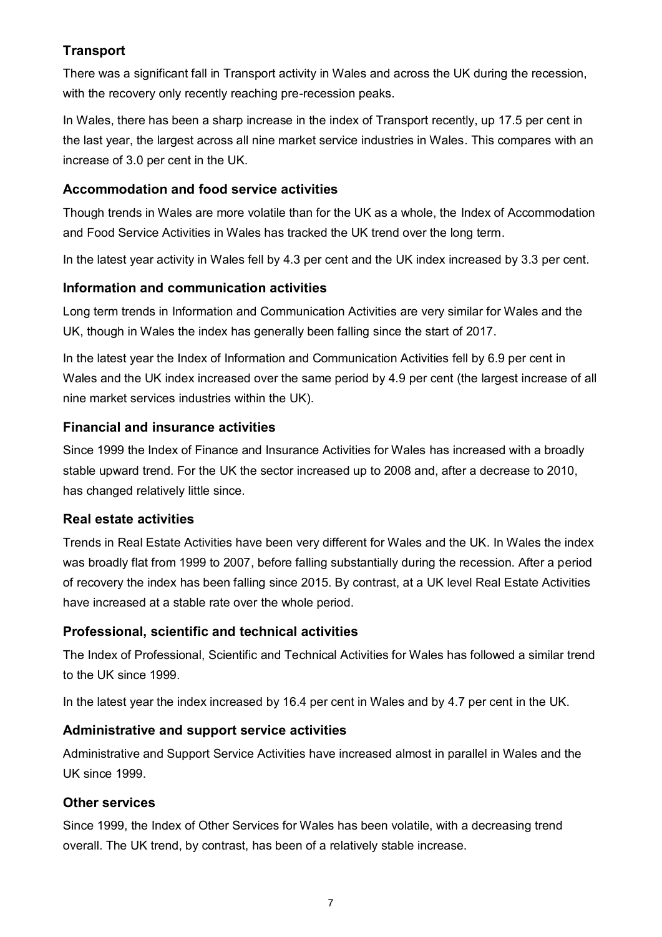## **Transport**

There was a significant fall in Transport activity in Wales and across the UK during the recession, with the recovery only recently reaching pre-recession peaks.

In Wales, there has been a sharp increase in the index of Transport recently, up 17.5 per cent in the last year, the largest across all nine market service industries in Wales. This compares with an increase of 3.0 per cent in the UK.

## **Accommodation and food service activities**

Though trends in Wales are more volatile than for the UK as a whole, the Index of Accommodation and Food Service Activities in Wales has tracked the UK trend over the long term.

In the latest year activity in Wales fell by 4.3 per cent and the UK index increased by 3.3 per cent.

## **Information and communication activities**

Long term trends in Information and Communication Activities are very similar for Wales and the UK, though in Wales the index has generally been falling since the start of 2017.

In the latest year the Index of Information and Communication Activities fell by 6.9 per cent in Wales and the UK index increased over the same period by 4.9 per cent (the largest increase of all nine market services industries within the UK).

## **Financial and insurance activities**

Since 1999 the Index of Finance and Insurance Activities for Wales has increased with a broadly stable upward trend. For the UK the sector increased up to 2008 and, after a decrease to 2010, has changed relatively little since.

## **Real estate activities**

Trends in Real Estate Activities have been very different for Wales and the UK. In Wales the index was broadly flat from 1999 to 2007, before falling substantially during the recession. After a period of recovery the index has been falling since 2015. By contrast, at a UK level Real Estate Activities have increased at a stable rate over the whole period.

## **Professional, scientific and technical activities**

The Index of Professional, Scientific and Technical Activities for Wales has followed a similar trend to the UK since 1999.

In the latest year the index increased by 16.4 per cent in Wales and by 4.7 per cent in the UK.

## **Administrative and support service activities**

Administrative and Support Service Activities have increased almost in parallel in Wales and the UK since 1999.

## **Other services**

<span id="page-6-0"></span>Since 1999, the Index of Other Services for Wales has been volatile, with a decreasing trend overall. The UK trend, by contrast, has been of a relatively stable increase.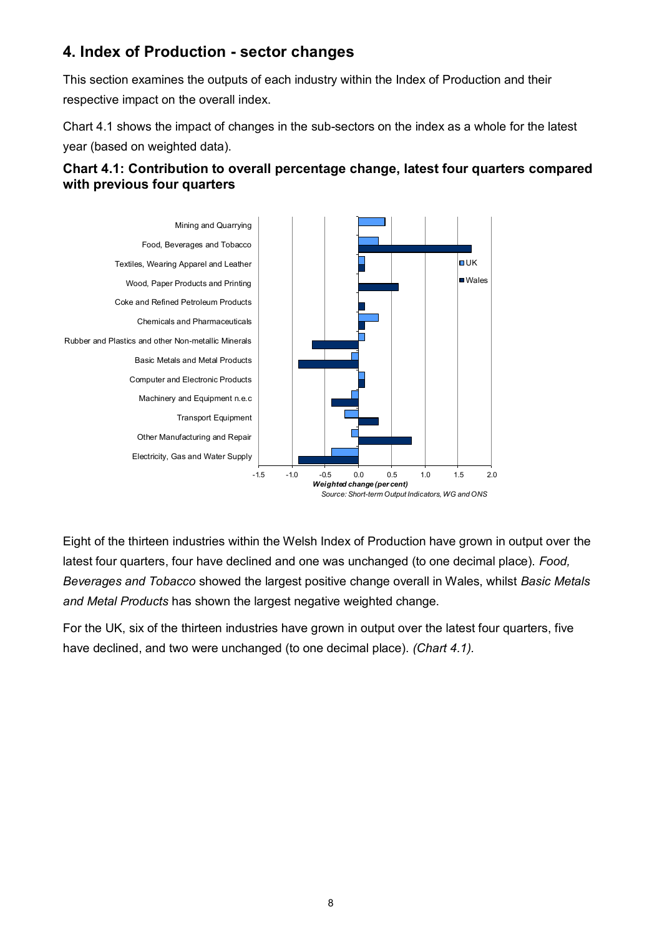## **4. Index of Production - sector changes**

This section examines the outputs of each industry within the Index of Production and their respective impact on the overall index.

Chart 4.1 shows the impact of changes in the sub-sectors on the index as a whole for the latest year (based on weighted data).



### **Chart 4.1: Contribution to overall percentage change, latest four quarters compared with previous four quarters**

Eight of the thirteen industries within the Welsh Index of Production have grown in output over the latest four quarters, four have declined and one was unchanged (to one decimal place). *Food, Beverages and Tobacco* showed the largest positive change overall in Wales, whilst *Basic Metals and Metal Products* has shown the largest negative weighted change.

For the UK, six of the thirteen industries have grown in output over the latest four quarters, five have declined, and two were unchanged (to one decimal place). *(Chart 4.1).*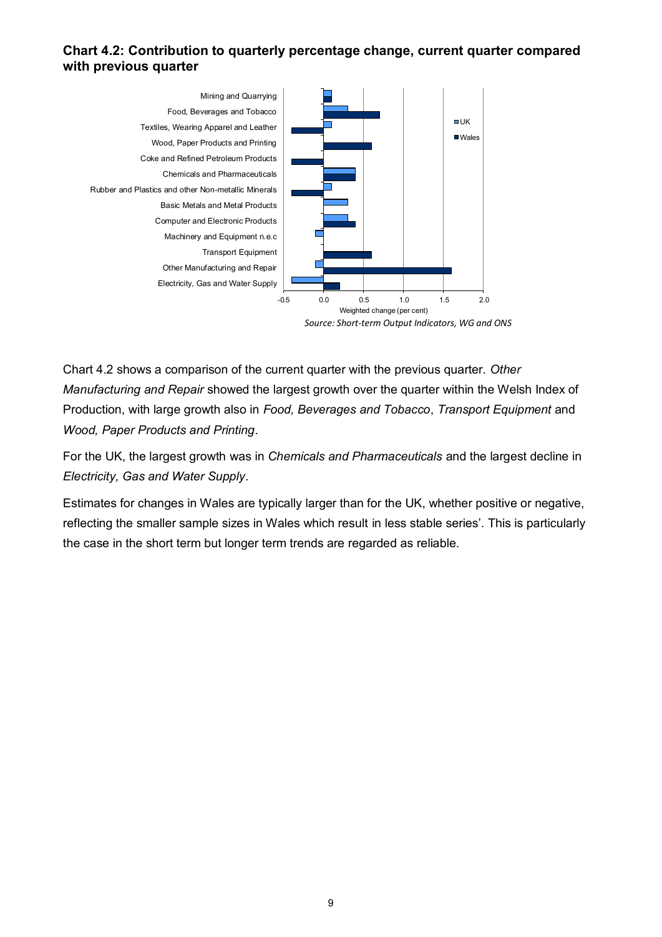### **Chart 4.2: Contribution to quarterly percentage change, current quarter compared with previous quarter**



Chart 4.2 shows a comparison of the current quarter with the previous quarter. *Other Manufacturing and Repair* showed the largest growth over the quarter within the Welsh Index of Production, with large growth also in *Food, Beverages and Tobacco*, *Transport Equipment* and *Wood, Paper Products and Printing*.

For the UK, the largest growth was in *Chemicals and Pharmaceuticals* and the largest decline in *Electricity, Gas and Water Supply*.

<span id="page-8-0"></span>Estimates for changes in Wales are typically larger than for the UK, whether positive or negative, reflecting the smaller sample sizes in Wales which result in less stable series'. This is particularly the case in the short term but longer term trends are regarded as reliable.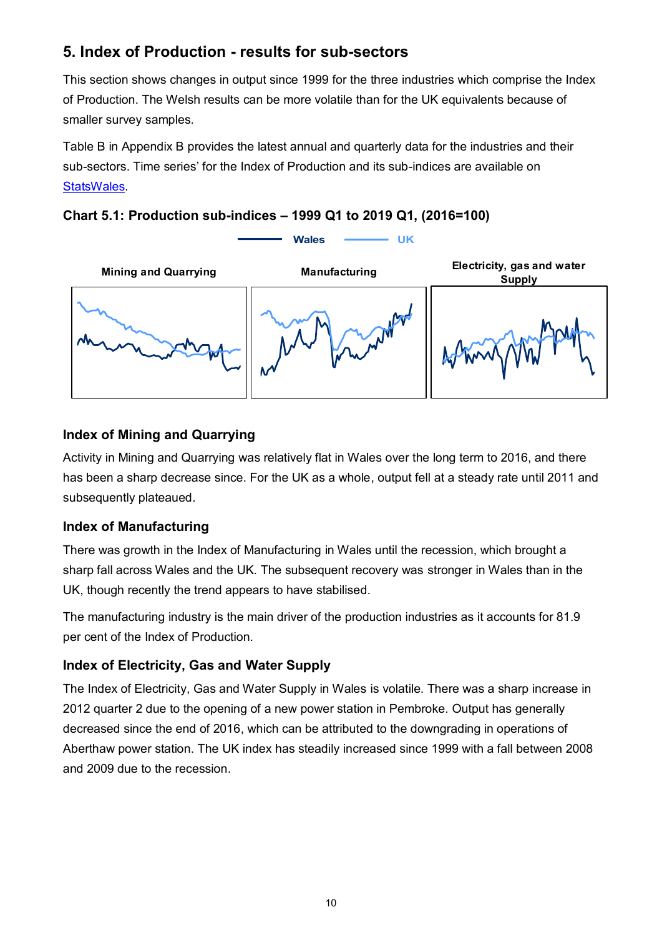## **5. Index of Production - results for sub-sectors**

This section shows changes in output since 1999 for the three industries which comprise the Index of Production. The Welsh results can be more volatile than for the UK equivalents because of smaller survey samples.

Table B in Appendix B provides the latest annual and quarterly data for the industries and their sub-sectors. Time series' for the Index of Production and its sub-indices are available on [StatsWales.](https://statswales.gov.wales/Catalogue/Business-Economy-and-Labour-Market/Economic-Indices/Indices-of-Production-and-Construction)





## **Index of Mining and Quarrying**

Activity in Mining and Quarrying was relatively flat in Wales over the long term to 2016, and there has been a sharp decrease since. For the UK as a whole, output fell at a steady rate until 2011 and subsequently plateaued.

## **Index of Manufacturing**

There was growth in the Index of Manufacturing in Wales until the recession, which brought a sharp fall across Wales and the UK. The subsequent recovery was stronger in Wales than in the UK, though recently the trend appears to have stabilised.

The manufacturing industry is the main driver of the production industries as it accounts for 81.9 per cent of the Index of Production.

## **Index of Electricity, Gas and Water Supply**

<span id="page-9-0"></span>The Index of Electricity, Gas and Water Supply in Wales is volatile. There was a sharp increase in 2012 quarter 2 due to the opening of a new power station in Pembroke. Output has generally decreased since the end of 2016, which can be attributed to the downgrading in operations of Aberthaw power station. The UK index has steadily increased since 1999 with a fall between 2008 and 2009 due to the recession.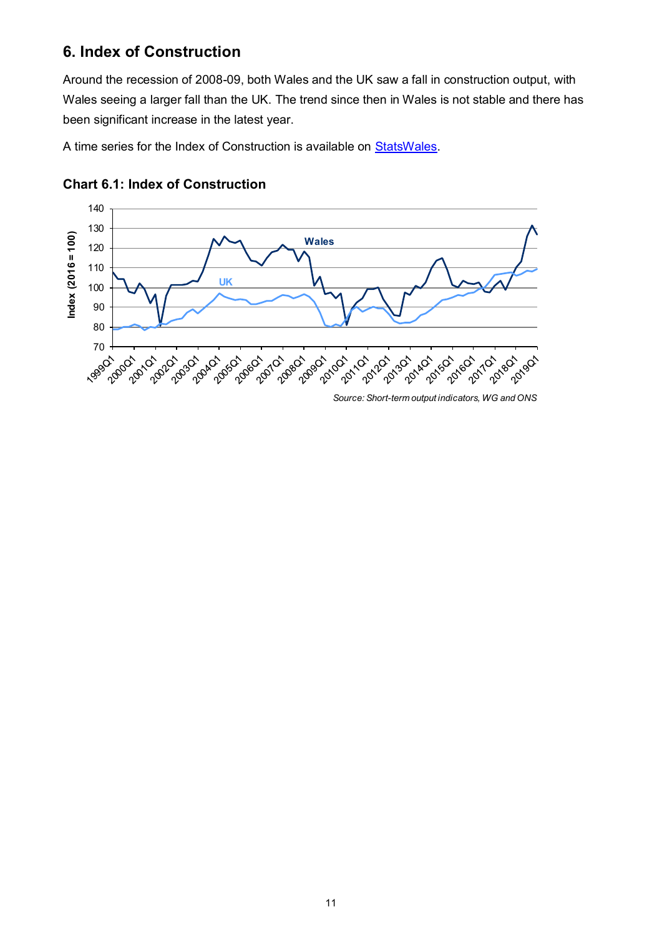## **6. Index of Construction**

Around the recession of 2008-09, both Wales and the UK saw a fall in construction output, with Wales seeing a larger fall than the UK. The trend since then in Wales is not stable and there has been significant increase in the latest year.

A time series for the Index of Construction is available on [StatsWales.](https://statswales.gov.wales/Catalogue/Business-Economy-and-Labour-Market/Economic-Indices/Indices-of-Production-and-Construction/indexofmanufacturing-by-quarter-area)



## **Chart 6.1: Index of Construction**

*Source: Short-term output indicators, WG and ONS*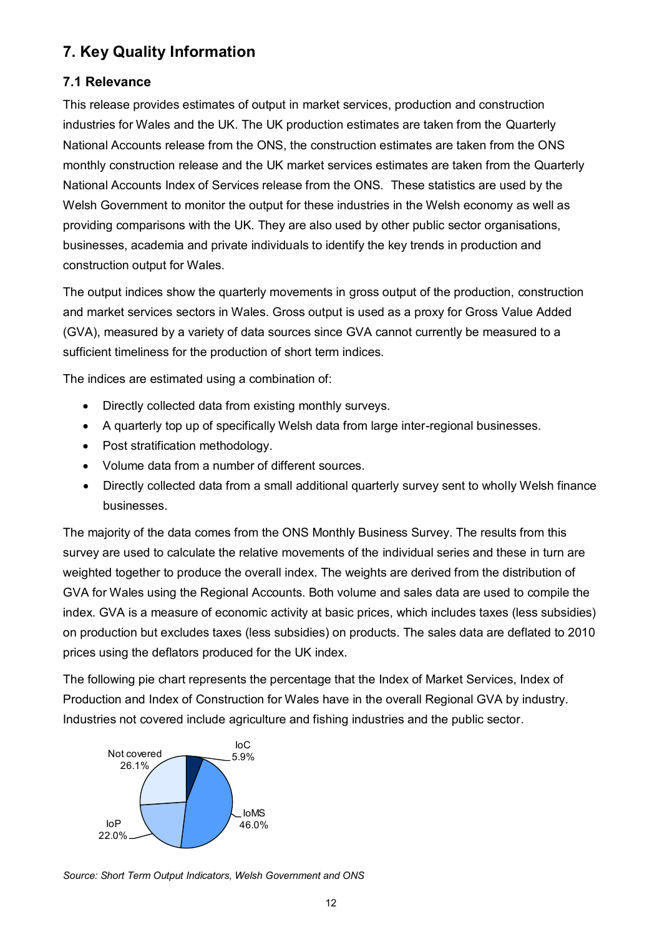## <span id="page-11-0"></span>**7. Key Quality Information**

## **7.1 Relevance**

This release provides estimates of output in market services, production and construction industries for Wales and the UK. The UK production estimates are taken from the Quarterly National Accounts release from the ONS, the construction estimates are taken from the ONS monthly construction release and the UK market services estimates are taken from the Quarterly National Accounts Index of Services release from the ONS. These statistics are used by the Welsh Government to monitor the output for these industries in the Welsh economy as well as providing comparisons with the UK. They are also used by other public sector organisations, businesses, academia and private individuals to identify the key trends in production and construction output for Wales.

The output indices show the quarterly movements in gross output of the production, construction and market services sectors in Wales. Gross output is used as a proxy for Gross Value Added (GVA), measured by a variety of data sources since GVA cannot currently be measured to a sufficient timeliness for the production of short term indices.

The indices are estimated using a combination of:

- Directly collected data from existing monthly surveys.
- A quarterly top up of specifically Welsh data from large inter-regional businesses.
- Post stratification methodology.
- Volume data from a number of different sources.
- Directly collected data from a small additional quarterly survey sent to wholly Welsh finance businesses.

The majority of the data comes from the ONS Monthly Business Survey. The results from this survey are used to calculate the relative movements of the individual series and these in turn are weighted together to produce the overall index. The weights are derived from the distribution of GVA for Wales using the Regional Accounts. Both volume and sales data are used to compile the index. GVA is a measure of economic activity at basic prices, which includes taxes (less subsidies) on production but excludes taxes (less subsidies) on products. The sales data are deflated to 2010 prices using the deflators produced for the UK index.

The following pie chart represents the percentage that the Index of Market Services, Index of Production and Index of Construction for Wales have in the overall Regional GVA by industry. Industries not covered include agriculture and fishing industries and the public sector.



*Source: Short Term Output Indicators, Welsh Government and ONS*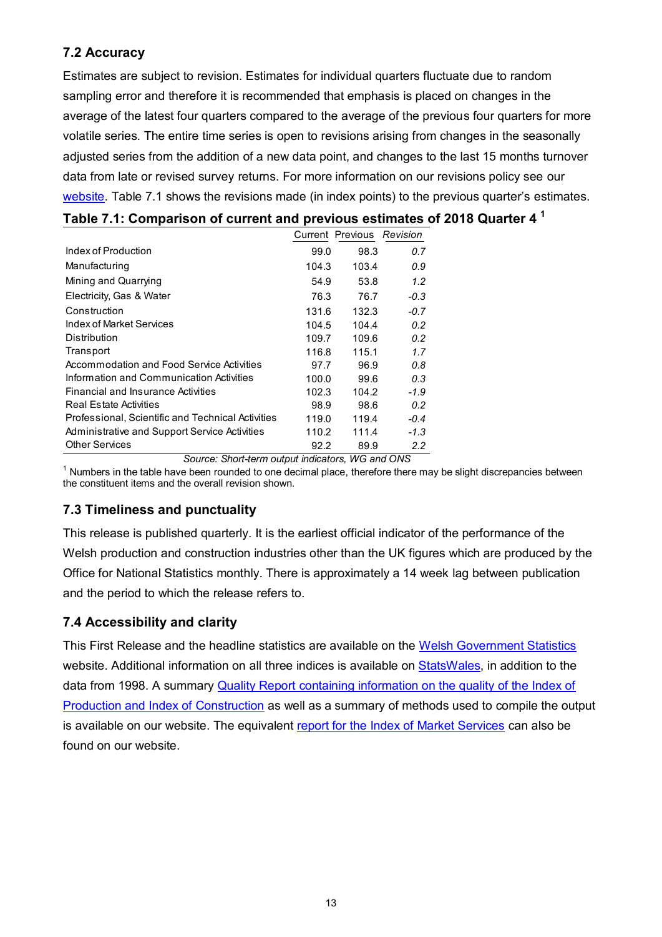## **7.2 Accuracy**

Estimates are subject to revision. Estimates for individual quarters fluctuate due to random sampling error and therefore it is recommended that emphasis is placed on changes in the average of the latest four quarters compared to the average of the previous four quarters for more volatile series. The entire time series is open to revisions arising from changes in the seasonally adjusted series from the addition of a new data point, and changes to the last 15 months turnover data from late or revised survey returns. For more information on our revisions policy see our [website.](https://gov.wales/statistics-and-research-statement-revisions-errors-and-postponements) Table 7.1 shows the revisions made (in index points) to the previous quarter's estimates.

| Table 7.1: Comparison of current and previous estimates of 2018 Quarter 4 $^{\text{1}}$ |  |  |
|-----------------------------------------------------------------------------------------|--|--|
|-----------------------------------------------------------------------------------------|--|--|

|                                                   |       | Current Previous Revision |        |
|---------------------------------------------------|-------|---------------------------|--------|
| Index of Production                               | 99.0  | 98.3                      | 0.7    |
| Manufacturing                                     | 104.3 | 103.4                     | 0.9    |
| Mining and Quarrying                              | 54.9  | 53.8                      | 1.2    |
| Electricity, Gas & Water                          | 76.3  | 76.7                      | $-0.3$ |
| Construction                                      | 131.6 | 132.3                     | $-0.7$ |
| Index of Market Services                          | 104.5 | 104.4                     | 0.2    |
| Distribution                                      | 109.7 | 109.6                     | 0.2    |
| Transport                                         | 116.8 | 115.1                     | 1.7    |
| Accommodation and Food Service Activities         | 97.7  | 96.9                      | 0.8    |
| Information and Communication Activities          | 100.0 | 99.6                      | 0.3    |
| Financial and Insurance Activities                | 102.3 | 104.2                     | $-1.9$ |
| <b>Real Estate Activities</b>                     | 98.9  | 98.6                      | 0.2    |
| Professional, Scientific and Technical Activities | 119.0 | 119.4                     | $-0.4$ |
| Administrative and Support Service Activities     | 110.2 | 111.4                     | $-1.3$ |
| <b>Other Services</b>                             | 92.2  | 89.9                      | 2.2    |

*Source: Short-term output indicators, WG and ONS*

 $1$  Numbers in the table have been rounded to one decimal place, therefore there may be slight discrepancies between the constituent items and the overall revision shown.

## **7.3 Timeliness and punctuality**

This release is published quarterly. It is the earliest official indicator of the performance of the Welsh production and construction industries other than the UK figures which are produced by the Office for National Statistics monthly. There is approximately a 14 week lag between publication and the period to which the release refers to.

## **7.4 Accessibility and clarity**

This First Release and the headline statistics are available on the [Welsh Government Statistics](https://gov.wales/short-term-output-indicators) website. Additional information on all three indices is available on [StatsWales,](https://statswales.gov.wales/Catalogue/Business-Economy-and-Labour-Market/Economic-Indices/Indices-of-Production-and-Construction) in addition to the data from 1998. A summary Quality Report [containing information on the quality of the Index of](https://gov.wales/index-production-and-index-construction-quality-report)  [Production and Index of Construction](https://gov.wales/index-production-and-index-construction-quality-report) as well as a summary of methods used to compile the output is available on our website. The equivalent [report for the Index of Market Services](https://gov.wales/index-market-services-quality-report) can also be found on our website.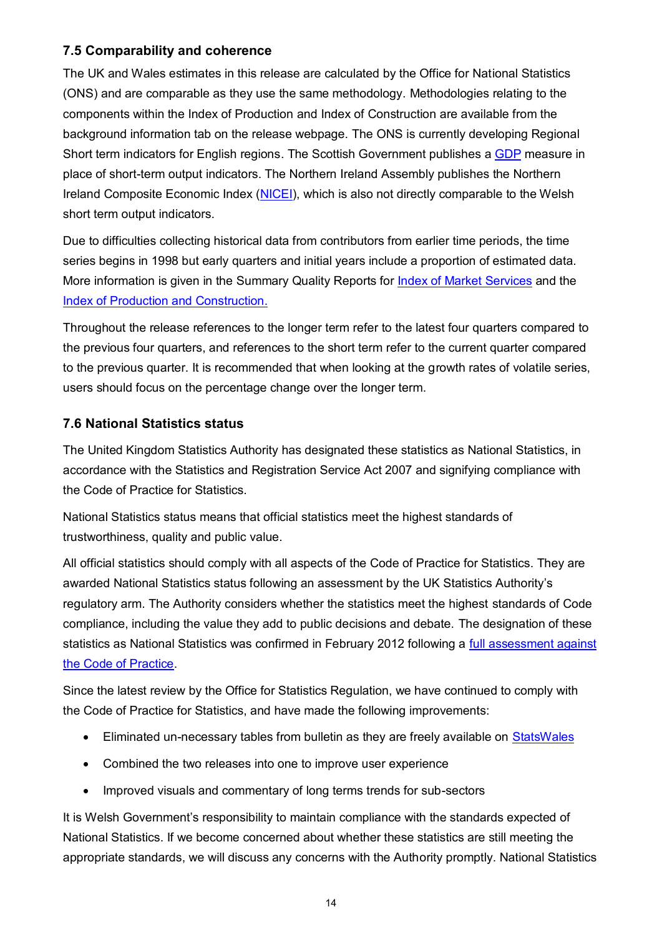## **7.5 Comparability and coherence**

The UK and Wales estimates in this release are calculated by the Office for National Statistics (ONS) and are comparable as they use the same methodology. Methodologies relating to the components within the Index of Production and Index of Construction are available from the background information tab on the release webpage. The ONS is currently developing Regional Short term indicators for English regions. The Scottish Government publishes a [GDP](http://www.gov.scot/Topics/Statistics/Browse/Economy/PubGDP) measure in place of short-term output indicators. The Northern Ireland Assembly publishes the Northern Ireland Composite Economic Index [\(NICEI\)](https://www.economy-ni.gov.uk/articles/northern-ireland-composite-economic-index-nicei), which is also not directly comparable to the Welsh short term output indicators.

Due to difficulties collecting historical data from contributors from earlier time periods, the time series begins in 1998 but early quarters and initial years include a proportion of estimated data. More information is given in the Summary Quality Reports for [Index of Market Services](https://gov.wales/index-market-services-quality-report) and the [Index of Production and Construction.](https://gov.wales/index-production-and-index-construction-quality-report)

Throughout the release references to the longer term refer to the latest four quarters compared to the previous four quarters, and references to the short term refer to the current quarter compared to the previous quarter. It is recommended that when looking at the growth rates of volatile series, users should focus on the percentage change over the longer term.

#### **7.6 National Statistics status**

The United Kingdom Statistics Authority has designated these statistics as National Statistics, in accordance with the Statistics and Registration Service Act 2007 and signifying compliance with the Code of Practice for Statistics.

National Statistics status means that official statistics meet the highest standards of trustworthiness, quality and public value.

All official statistics should comply with all aspects of the Code of Practice for Statistics. They are awarded National Statistics status following an assessment by the UK Statistics Authority's regulatory arm. The Authority considers whether the statistics meet the highest standards of Code compliance, including the value they add to public decisions and debate. The designation of these statistics as National Statistics was confirmed in February 2012 following a [full assessment against](https://www.statisticsauthority.gov.uk/publication/welsh-short-term-output-indicators-welsh-assembly-government-letter-of-confirmation-as-national-statistics/)  [the Code of Practice.](https://www.statisticsauthority.gov.uk/publication/welsh-short-term-output-indicators-welsh-assembly-government-letter-of-confirmation-as-national-statistics/)

Since the latest review by the Office for Statistics Regulation, we have continued to comply with the Code of Practice for Statistics, and have made the following improvements:

- Eliminated un-necessary tables from bulletin as they are freely available on [StatsWales](https://statswales.gov.wales/Catalogue/Business-Economy-and-Labour-Market/Economic-Indices)
- Combined the two releases into one to improve user experience
- Improved visuals and commentary of long terms trends for sub-sectors

It is Welsh Government's responsibility to maintain compliance with the standards expected of National Statistics. If we become concerned about whether these statistics are still meeting the appropriate standards, we will discuss any concerns with the Authority promptly. National Statistics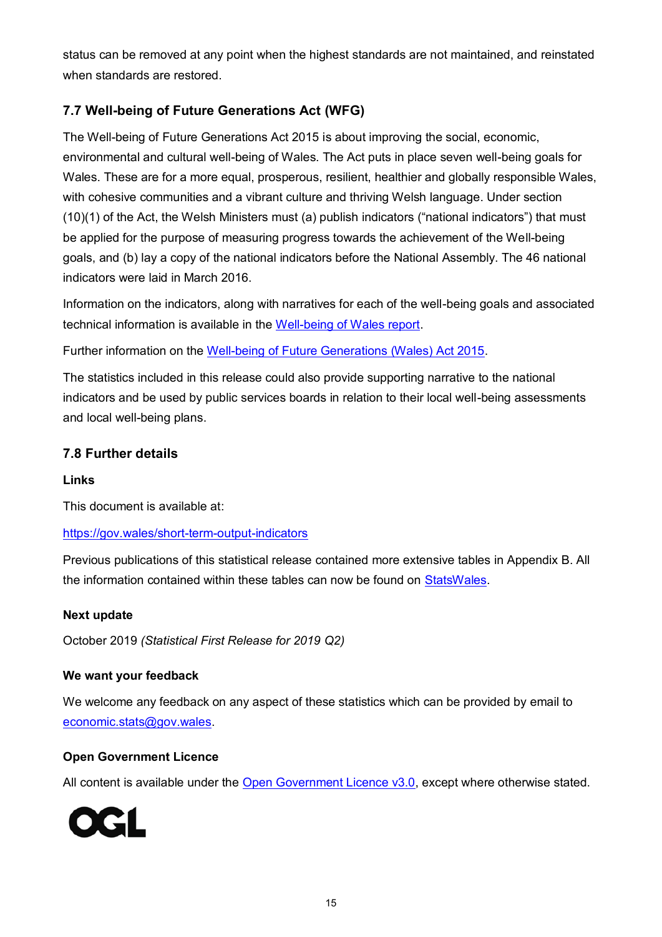status can be removed at any point when the highest standards are not maintained, and reinstated when standards are restored.

## **7.7 Well-being of Future Generations Act (WFG)**

The Well-being of Future Generations Act 2015 is about improving the social, economic, environmental and cultural well-being of Wales. The Act puts in place seven well-being goals for Wales. These are for a more equal, prosperous, resilient, healthier and globally responsible Wales, with cohesive communities and a vibrant culture and thriving Welsh language. Under section (10)(1) of the Act, the Welsh Ministers must (a) publish indicators ("national indicators") that must be applied for the purpose of measuring progress towards the achievement of the Well-being goals, and (b) lay a copy of the national indicators before the National Assembly. The 46 national indicators were laid in March 2016.

Information on the indicators, along with narratives for each of the well-being goals and associated technical information is available in the [Well-being of Wales report.](https://gov.wales/well-being-wales)

Further information on the [Well-being of Future Generations \(Wales\) Act 2015.](http://gov.wales/topics/people-and-communities/people/future-generations-act)

The statistics included in this release could also provide supporting narrative to the national indicators and be used by public services boards in relation to their local well-being assessments and local well-being plans.

## **7.8 Further details**

#### **Links**

This document is available at:

#### <https://gov.wales/short-term-output-indicators>

Previous publications of this statistical release contained more extensive tables in Appendix B. All the information contained within these tables can now be found on [StatsWales.](https://statswales.gov.wales/Catalogue/Business-Economy-and-Labour-Market/Economic-Indices/Indices-of-Production-and-Construction)

#### **Next update**

October 2019 *(Statistical First Release for 2019 Q2)*

#### **We want your feedback**

We welcome any feedback on any aspect of these statistics which can be provided by email to [economic.stats@gov.wales.](mailto:economic.stats@gov.wales)

#### **Open Government Licence**

All content is available under the [Open Government Licence v3.0,](http://www.nationalarchives.gov.uk/doc/open-government-licence/version/3/) except where otherwise stated.

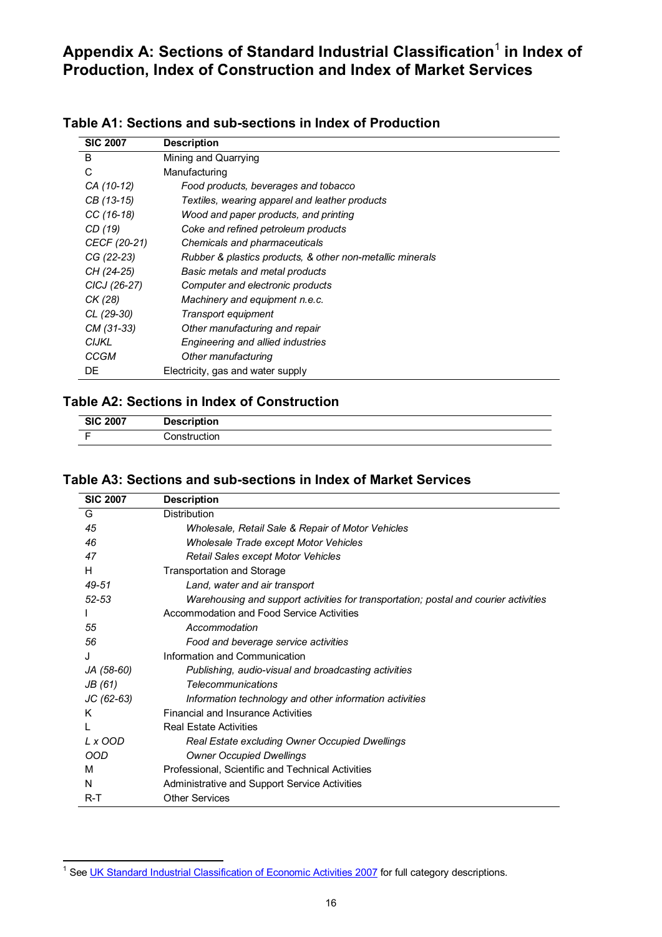## <span id="page-15-0"></span>Appendix A: Sections of Standard Industrial Classification<sup>1</sup> in Index of **Production, Index of Construction and Index of Market Services**

| <b>SIC 2007</b> | <b>Description</b>                                        |
|-----------------|-----------------------------------------------------------|
| B               | Mining and Quarrying                                      |
| C               | Manufacturing                                             |
| CA (10-12)      | Food products, beverages and tobacco                      |
| CB (13-15)      | Textiles, wearing apparel and leather products            |
| $CC(16-18)$     | Wood and paper products, and printing                     |
| CD (19)         | Coke and refined petroleum products                       |
| CECF (20-21)    | Chemicals and pharmaceuticals                             |
| CG (22-23)      | Rubber & plastics products, & other non-metallic minerals |
| CH (24-25)      | Basic metals and metal products                           |
| CICJ (26-27)    | Computer and electronic products                          |
| CK (28)         | Machinery and equipment n.e.c.                            |
| CL (29-30)      | Transport equipment                                       |
| CM (31-33)      | Other manufacturing and repair                            |
| <b>CIJKL</b>    | Engineering and allied industries                         |
| <b>CCGM</b>     | Other manufacturing                                       |
| DE              | Electricity, gas and water supply                         |

#### **Table A1: Sections and sub-sections in Index of Production**

#### **Table A2: Sections in Index of Construction**

| <b>SIC 2007</b> | <b>Description</b> |  |
|-----------------|--------------------|--|
|                 | Construction       |  |

#### **Table A3: Sections and sub-sections in Index of Market Services**

| <b>SIC 2007</b> | <b>Description</b>                                                                   |
|-----------------|--------------------------------------------------------------------------------------|
| G               | <b>Distribution</b>                                                                  |
| 45              | Wholesale, Retail Sale & Repair of Motor Vehicles                                    |
| 46              | Wholesale Trade except Motor Vehicles                                                |
| 47              | <b>Retail Sales except Motor Vehicles</b>                                            |
| H               | <b>Transportation and Storage</b>                                                    |
| 49-51           | Land, water and air transport                                                        |
| $52 - 53$       | Warehousing and support activities for transportation; postal and courier activities |
|                 | Accommodation and Food Service Activities                                            |
| 55              | Accommodation                                                                        |
| 56              | Food and beverage service activities                                                 |
| J               | Information and Communication                                                        |
| JA (58-60)      | Publishing, audio-visual and broadcasting activities                                 |
| JB (61)         | <b>Telecommunications</b>                                                            |
| JC (62-63)      | Information technology and other information activities                              |
| Κ               | <b>Financial and Insurance Activities</b>                                            |
|                 | <b>Real Estate Activities</b>                                                        |
| L x OOD         | Real Estate excluding Owner Occupied Dwellings                                       |
| OOD             | <b>Owner Occupied Dwellings</b>                                                      |
| м               | Professional, Scientific and Technical Activities                                    |
| N               | Administrative and Support Service Activities                                        |
| $R-T$           | <b>Other Services</b>                                                                |

 $\overline{a}$ <sup>1</sup> See [UK Standard Industrial Classification of Economic Activities 2007](http://www.ons.gov.uk/ons/guide-method/classifications/current-standard-classifications/standard-industrial-classification/index.html) for full category descriptions.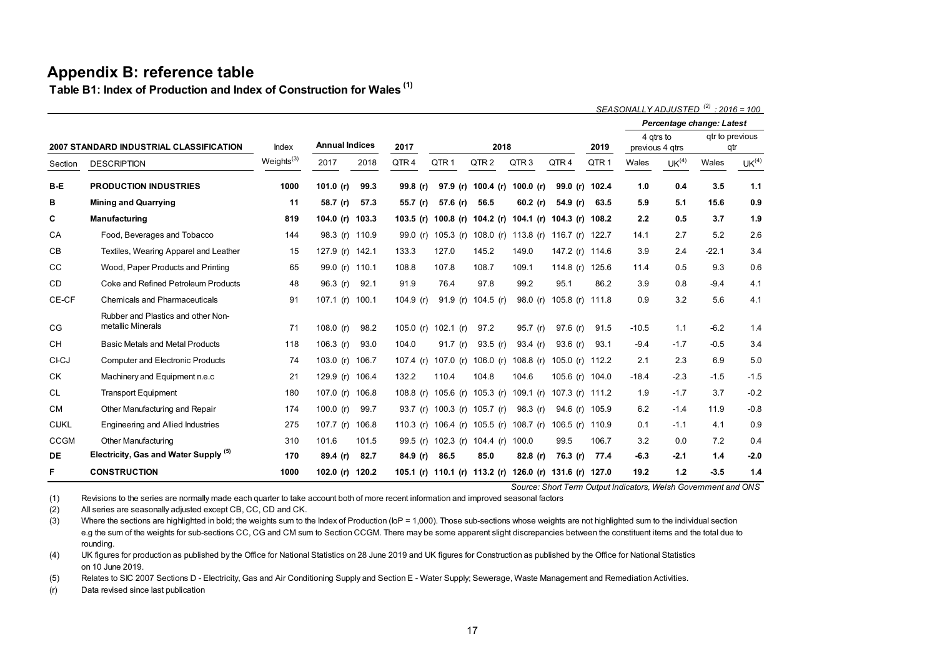## **Appendix B: reference table**

**Table B1: Index of Production and Index of Construction for Wales (1)**

|                                                |                                                         |                        |                       |       |             |                                                         |                     |                               |                 |                  | SEASONALLY ADJUSTED <sup>(2)</sup> : 2016 = 100 |                   |                           |                   |
|------------------------------------------------|---------------------------------------------------------|------------------------|-----------------------|-------|-------------|---------------------------------------------------------|---------------------|-------------------------------|-----------------|------------------|-------------------------------------------------|-------------------|---------------------------|-------------------|
|                                                |                                                         |                        |                       |       |             |                                                         |                     |                               |                 |                  |                                                 |                   | Percentage change: Latest |                   |
| <b>2007 STANDARD INDUSTRIAL CLASSIFICATION</b> |                                                         | Index                  | <b>Annual Indices</b> |       | 2017        | 2018                                                    |                     |                               |                 | 2019             | 4 gtrs to<br>previous 4 gtrs                    |                   | gtr to previous<br>qtr    |                   |
| Section                                        | <b>DESCRIPTION</b>                                      | Weights <sup>(3)</sup> | 2017                  | 2018  | QTR4        | QTR <sub>1</sub>                                        | QTR <sub>2</sub>    | QTR <sub>3</sub>              | QTR4            | QTR <sub>1</sub> | Wales                                           | UK <sup>(4)</sup> | Wales                     | UK <sup>(4)</sup> |
| B-E                                            | <b>PRODUCTION INDUSTRIES</b>                            | 1000                   | 101.0 (r)             | 99.3  | 99.8(r)     |                                                         | 97.9 (r) 100.4 (r)  | 100.0 (r)                     | 99.0 (r)        | 102.4            | 1.0                                             | 0.4               | 3.5                       | $1.1$             |
| В                                              | <b>Mining and Quarrying</b>                             | 11                     | 58.7 (r)              | 57.3  | 55.7 (r)    | 57.6 (r)                                                | 56.5                | 60.2 $(r)$                    | 54.9 (r)        | 63.5             | 5.9                                             | 5.1               | 15.6                      | 0.9               |
| C                                              | <b>Manufacturing</b>                                    | 819                    | 104.0 (r) 103.3       |       |             | 103.5 (r) 100.8 (r) 104.2 (r) 104.1 (r) 104.3 (r) 108.2 |                     |                               |                 |                  | 2.2                                             | 0.5               | 3.7                       | 1.9               |
| CA                                             | Food, Beverages and Tobacco                             | 144                    | 98.3 (r) 110.9        |       | 99.0 $(r)$  |                                                         |                     | 105.3 (r) 108.0 (r) 113.8 (r) | 116.7 (r)       | 122.7            | 14.1                                            | 2.7               | 5.2                       | 2.6               |
| CВ                                             | Textiles, Wearing Apparel and Leather                   | 15                     | 127.9 (r) 142.1       |       | 133.3       | 127.0                                                   | 145.2               | 149.0                         | 147.2 (r) 114.6 |                  | 3.9                                             | 2.4               | $-22.1$                   | 3.4               |
| CC                                             | Wood, Paper Products and Printing                       | 65                     | 99.0 (r) 110.1        |       | 108.8       | 107.8                                                   | 108.7               | 109.1                         | 114.8 $(r)$     | 125.6            | 11.4                                            | 0.5               | 9.3                       | 0.6               |
| CD                                             | Coke and Refined Petroleum Products                     | 48                     | 96.3 $(r)$            | 92.1  | 91.9        | 76.4                                                    | 97.8                | 99.2                          | 95.1            | 86.2             | 3.9                                             | 0.8               | $-9.4$                    | 4.1               |
| CE-CF                                          | <b>Chemicals and Pharmaceuticals</b>                    | 91                     | 107.1 $(r)$           | 100.1 | 104.9 (r)   | 91.9(r)                                                 | 104.5 (r)           | 98.0 $(r)$                    | 105.8 $(r)$     | 111.8            | 0.9                                             | 3.2               | 5.6                       | 4.1               |
| CG                                             | Rubber and Plastics and other Non-<br>metallic Minerals | 71                     | 108.0 $(r)$           | 98.2  |             | 105.0 (r) 102.1 (r)                                     | 97.2                | 95.7 $(r)$                    | 97.6 $(r)$      | 91.5             | $-10.5$                                         | 1.1               | $-6.2$                    | 1.4               |
| СH                                             | <b>Basic Metals and Metal Products</b>                  | 118                    | 106.3 $(r)$           | 93.0  | 104.0       | 91.7 $(r)$                                              | 93.5 $(r)$          | 93.4 $(r)$                    | 93.6 $(r)$      | 93.1             | $-9.4$                                          | $-1.7$            | $-0.5$                    | 3.4               |
| <b>CI-CJ</b>                                   | <b>Computer and Electronic Products</b>                 | 74                     | 103.0 $(r)$           | 106.7 | 107.4 $(r)$ | 107.0 (r)                                               | 106.0 $(r)$         | 108.8 $(r)$                   | 105.0 (r) 112.2 |                  | 2.1                                             | 2.3               | 6.9                       | 5.0               |
| СK                                             | Machinery and Equipment n.e.c                           | 21                     | 129.9 (r) 106.4       |       | 132.2       | 110.4                                                   | 104.8               | 104.6                         | 105.6 (r) 104.0 |                  | $-18.4$                                         | $-2.3$            | $-1.5$                    | $-1.5$            |
| <b>CL</b>                                      | <b>Transport Equipment</b>                              | 180                    | 107.0 (r) 106.8       |       | 108.8 $(r)$ |                                                         |                     | 105.6 (r) 105.3 (r) 109.1 (r) | 107.3 (r) 111.2 |                  | 1.9                                             | $-1.7$            | 3.7                       | $-0.2$            |
| <b>CM</b>                                      | Other Manufacturing and Repair                          | 174                    | 100.0 $(r)$           | 99.7  |             | 93.7 (r) 100.3 (r) 105.7 (r)                            |                     | 98.3 (r)                      | 94.6 (r) 105.9  |                  | 6.2                                             | $-1.4$            | 11.9                      | $-0.8$            |
| <b>CIJKL</b>                                   | Engineering and Allied Industries                       | 275                    | 107.7 $(r)$           | 106.8 | 110.3 $(r)$ |                                                         | 106.4 (r) 105.5 (r) | 108.7 $(r)$                   | 106.5 $(r)$     | 110.9            | 0.1                                             | $-1.1$            | 4.1                       | 0.9               |
| CCGM                                           | <b>Other Manufacturing</b>                              | 310                    | 101.6                 | 101.5 |             | 99.5 (r) 102.3 (r) 104.4 (r)                            |                     | 100.0                         | 99.5            | 106.7            | 3.2                                             | 0.0               | 7.2                       | 0.4               |
| DE                                             | Electricity, Gas and Water Supply (5)                   | 170                    | 89.4 (r)              | 82.7  | 84.9(r)     | 86.5                                                    | 85.0                | 82.8(r)                       | 76.3 (r)        | 77.4             | $-6.3$                                          | $-2.1$            | 1.4                       | $-2.0$            |
| F                                              | <b>CONSTRUCTION</b>                                     | 1000                   | 102.0 (r)             | 120.2 |             | 105.1 (r) 110.1 (r) 113.2 (r) 126.0 (r) 131.6 (r) 127.0 |                     |                               |                 |                  | 19.2                                            | 1.2               | $-3.5$                    | 1.4               |

*Source: Short Term Output Indicators, Welsh Government and ONS*

<span id="page-16-0"></span>(1) Revisions to the series are normally made each quarter to take account both of more recent information and improved seasonal factors

(2) All series are seasonally adjusted except CB, CC, CD and CK.

(3) Where the sections are highlighted in bold; the weights sum to the Index of Production (IoP = 1,000). Those sub-sections whose weights are not highlighted sum to the individual section e.g the sum of the weights for sub-sections CC, CG and CM sum to Section CCGM. There may be some apparent slight discrepancies between the constituent items and the total due to rounding.

(4) UK figures for production as published by the Office for National Statistics on 28 June 2019 and UK figures for Construction as published by the Office for National Statistics on 10 June 2019.

(5) Relates to SIC 2007 Sections D - Electricity, Gas and Air Conditioning Supply and Section E - Water Supply; Sewerage, Waste Management and Remediation Activities.

(r) Data revised since last publication